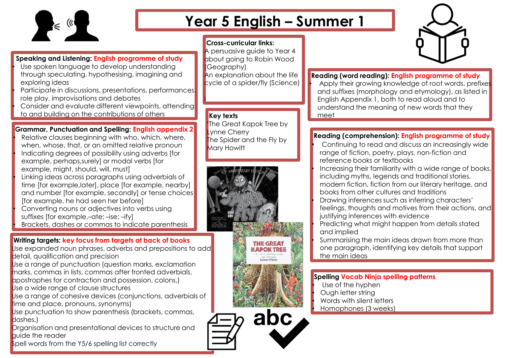

## **Year 5 English – Summer 1**

## **Cross-curricular links:**

I

A persuasive quide to Year 4 about going to Robin Wood (Geography) An explanation about the life cycle of a spider/fly (Science)

#### **Key texts**

**'**The Great Kapok Tree by **Vnne Cherry** The Spider and the Fly by Mary Howitt



#### **Reading (word reading): English programme of study**

Apply their growing knowledge of root words, prefixes and suffixes (morphology and etymology), as listed in English Appendix 1, both to read aloud and to understand the meaning of new words that they meet

### **Reading (comprehension): English programme of study**

• Continuing to read and discuss an increasingly wide range of fiction, poetry, plays, non-fiction and reference books or textbooks Increasing their familiarity with a wide range of books,

including myths, legends and traditional stories,

modern fiction, fiction from our literary heritage, and books from other cultures and traditions

• Drawing inferences such as inferring characters' feelings, thoughts and motives from their actions, and justifying inferences with evidence

• Predicting what might happen from details stated and implied

Summarising the main ideas drawn from more than one paragraph, identifying key details that support the main ideas

#### **Spelling Vocab Ninja spelling patterns**

- Use of the hyphen
- Ough letter string
- Words with silent letters
- Homophones (3 weeks)

### **Speaking and Listening: English programme of study**

Use spoken language to develop understanding through speculating, hypothesising, imagining and exploring ideas

• Participate in discussions, presentations, performances, role play, improvisations and debates

Consider and evaluate different viewpoints, attending to and building on the contributions of others

#### **Grammar, Punctuation and Spelling: English appendix 2**

Relative clauses beginning with who, which, where, when, whose, that, or an omitted relative pronoun • Indicating degrees of possibility using adverbs [for example, perhaps,surely] or modal verbs [for example, might, should, will, must] • Linking ideas across paragraphs using adverbials of time [for example,later], place [for example, nearby] and number [for example, secondly] or tense choices [for example, he had seen her before] • Converting nouns or adjectives into verbs using suffixes [for example,–ate; –ise; –ify] • Brackets, dashes or commas to indicate parenthesis

#### **Writing targets: key focus from targets at back of books**

Use expanded noun phrases, adverbs and prepositions to add detail, qualification and precision

Use a range of punctuation (question marks, exclamation marks, commas in lists, commas after fronted adverbials,

apostrophes for contraction and possession, colons,) Use a wide range of clause structures

Use a range of cohesive devices (conjunctions, adverbials of time and place, pronouns, synonyms)

Use punctuation to show parenthesis (brackets, commas, dashes.)

Organisation and presentational devices to structure and guide the reader

Spell words from the Y5/6 spelling list correctly



abc